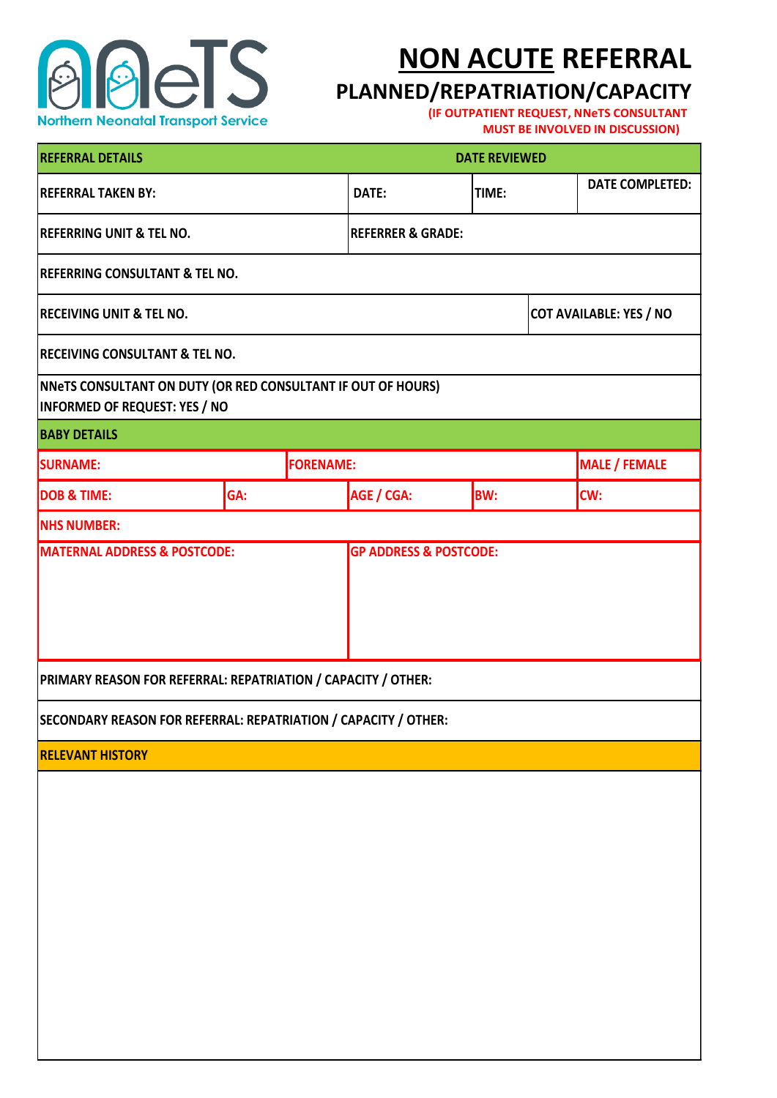

## **NON ACUTE REFERRAL**

## **PLANNED/REPATRIATION/CAPACITY**

**(IF OUTPATIENT REQUEST, NNeTS CONSULTANT MUST BE INVOLVED IN DISCUSSION)**

| <b>REFERRAL DETAILS</b>                                                                              |     |                  | <b>DATE REVIEWED</b>         |                                |                      |                        |  |
|------------------------------------------------------------------------------------------------------|-----|------------------|------------------------------|--------------------------------|----------------------|------------------------|--|
| <b>REFERRAL TAKEN BY:</b>                                                                            |     |                  | DATE:                        | TIME:                          |                      | <b>DATE COMPLETED:</b> |  |
| <b>REFERRING UNIT &amp; TEL NO.</b>                                                                  |     |                  | <b>REFERRER &amp; GRADE:</b> |                                |                      |                        |  |
| <b>REFERRING CONSULTANT &amp; TEL NO.</b>                                                            |     |                  |                              |                                |                      |                        |  |
| <b>RECEIVING UNIT &amp; TEL NO.</b>                                                                  |     |                  |                              | <b>COT AVAILABLE: YES / NO</b> |                      |                        |  |
| <b>RECEIVING CONSULTANT &amp; TEL NO.</b>                                                            |     |                  |                              |                                |                      |                        |  |
| NNeTS CONSULTANT ON DUTY (OR RED CONSULTANT IF OUT OF HOURS)<br><b>INFORMED OF REQUEST: YES / NO</b> |     |                  |                              |                                |                      |                        |  |
| <b>BABY DETAILS</b>                                                                                  |     |                  |                              |                                |                      |                        |  |
| <b>SURNAME:</b>                                                                                      |     | <b>FORENAME:</b> |                              |                                | <b>MALE / FEMALE</b> |                        |  |
| <b>DOB &amp; TIME:</b>                                                                               | GA: |                  | AGE / CGA:                   | <b>BW:</b>                     |                      | CW:                    |  |
| <b>NHS NUMBER:</b>                                                                                   |     |                  |                              |                                |                      |                        |  |
| PRIMARY REASON FOR REFERRAL: REPATRIATION / CAPACITY / OTHER:                                        |     |                  |                              |                                |                      |                        |  |
| SECONDARY REASON FOR REFERRAL: REPATRIATION / CAPACITY / OTHER:                                      |     |                  |                              |                                |                      |                        |  |
| <b>RELEVANT HISTORY</b>                                                                              |     |                  |                              |                                |                      |                        |  |
|                                                                                                      |     |                  |                              |                                |                      |                        |  |
|                                                                                                      |     |                  |                              |                                |                      |                        |  |
|                                                                                                      |     |                  |                              |                                |                      |                        |  |
|                                                                                                      |     |                  |                              |                                |                      |                        |  |
|                                                                                                      |     |                  |                              |                                |                      |                        |  |
|                                                                                                      |     |                  |                              |                                |                      |                        |  |
|                                                                                                      |     |                  |                              |                                |                      |                        |  |
|                                                                                                      |     |                  |                              |                                |                      |                        |  |
|                                                                                                      |     |                  |                              |                                |                      |                        |  |